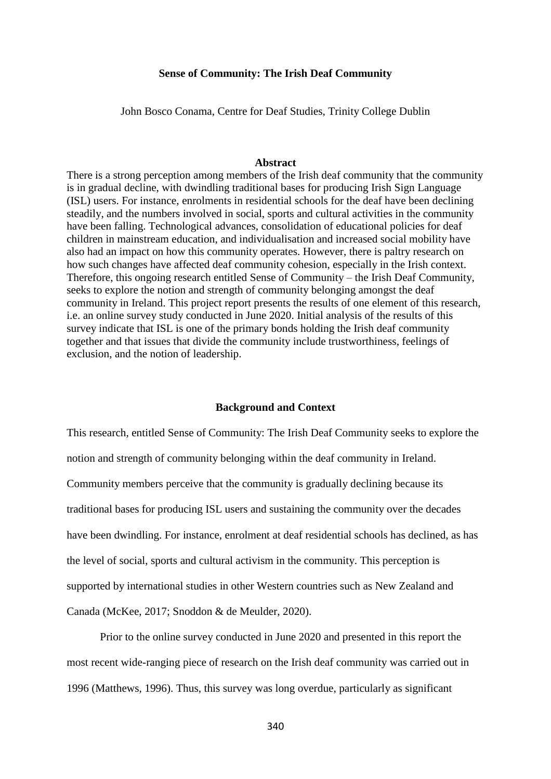## **Sense of Community: The Irish Deaf Community**

John Bosco Conama, Centre for Deaf Studies, Trinity College Dublin

#### **Abstract**

There is a strong perception among members of the Irish deaf community that the community is in gradual decline, with dwindling traditional bases for producing Irish Sign Language (ISL) users. For instance, enrolments in residential schools for the deaf have been declining steadily, and the numbers involved in social, sports and cultural activities in the community have been falling. Technological advances, consolidation of educational policies for deaf children in mainstream education, and individualisation and increased social mobility have also had an impact on how this community operates. However, there is paltry research on how such changes have affected deaf community cohesion, especially in the Irish context. Therefore, this ongoing research entitled Sense of Community – the Irish Deaf Community, seeks to explore the notion and strength of community belonging amongst the deaf community in Ireland. This project report presents the results of one element of this research, i.e. an online survey study conducted in June 2020. Initial analysis of the results of this survey indicate that ISL is one of the primary bonds holding the Irish deaf community together and that issues that divide the community include trustworthiness, feelings of exclusion, and the notion of leadership.

#### **Background and Context**

This research, entitled Sense of Community: The Irish Deaf Community seeks to explore the notion and strength of community belonging within the deaf community in Ireland. Community members perceive that the community is gradually declining because its traditional bases for producing ISL users and sustaining the community over the decades have been dwindling. For instance, enrolment at deaf residential schools has declined, as has the level of social, sports and cultural activism in the community. This perception is supported by international studies in other Western countries such as New Zealand and Canada (McKee, 2017; Snoddon & de Meulder, 2020).

Prior to the online survey conducted in June 2020 and presented in this report the most recent wide-ranging piece of research on the Irish deaf community was carried out in 1996 (Matthews, 1996). Thus, this survey was long overdue, particularly as significant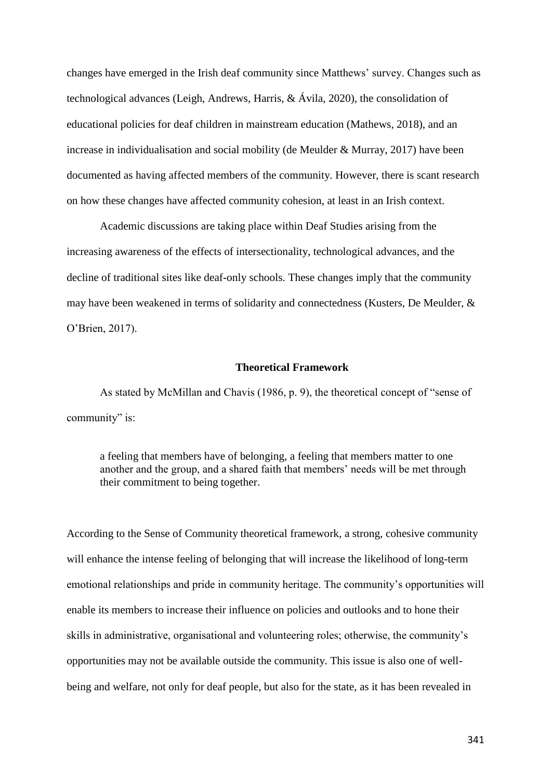changes have emerged in the Irish deaf community since Matthews' survey. Changes such as technological advances (Leigh, Andrews, Harris, & Ávila, 2020), the consolidation of educational policies for deaf children in mainstream education (Mathews, 2018), and an increase in individualisation and social mobility (de Meulder  $& Murray, 2017$ ) have been documented as having affected members of the community. However, there is scant research on how these changes have affected community cohesion, at least in an Irish context.

Academic discussions are taking place within Deaf Studies arising from the increasing awareness of the effects of intersectionality, technological advances, and the decline of traditional sites like deaf-only schools. These changes imply that the community may have been weakened in terms of solidarity and connectedness (Kusters, De Meulder, & O'Brien, 2017).

## **Theoretical Framework**

As stated by McMillan and Chavis (1986, p. 9), the theoretical concept of "sense of community" is:

a feeling that members have of belonging, a feeling that members matter to one another and the group, and a shared faith that members' needs will be met through their commitment to being together.

According to the Sense of Community theoretical framework, a strong, cohesive community will enhance the intense feeling of belonging that will increase the likelihood of long-term emotional relationships and pride in community heritage. The community's opportunities will enable its members to increase their influence on policies and outlooks and to hone their skills in administrative, organisational and volunteering roles; otherwise, the community's opportunities may not be available outside the community. This issue is also one of wellbeing and welfare, not only for deaf people, but also for the state, as it has been revealed in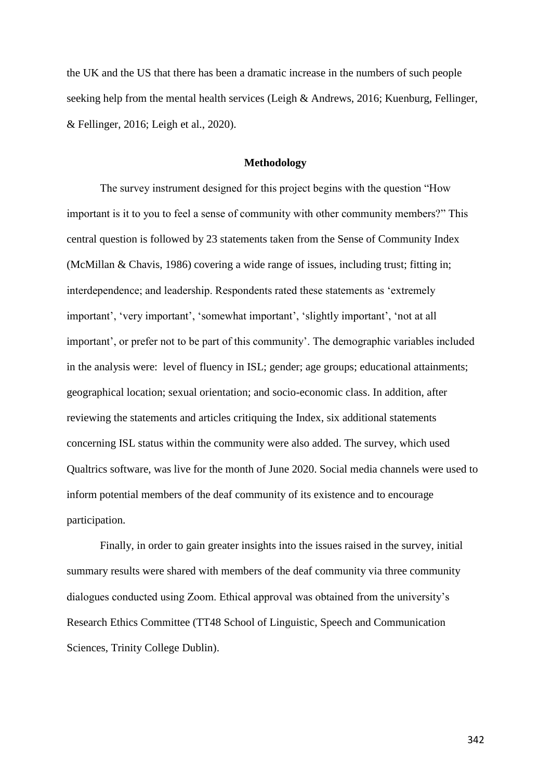the UK and the US that there has been a dramatic increase in the numbers of such people seeking help from the mental health services (Leigh & Andrews, 2016; Kuenburg, Fellinger, & Fellinger, 2016; Leigh et al., 2020).

#### **Methodology**

The survey instrument designed for this project begins with the question "How important is it to you to feel a sense of community with other community members?" This central question is followed by 23 statements taken from the Sense of Community Index (McMillan & Chavis, 1986) covering a wide range of issues, including trust; fitting in; interdependence; and leadership. Respondents rated these statements as 'extremely important', 'very important', 'somewhat important', 'slightly important', 'not at all important', or prefer not to be part of this community'. The demographic variables included in the analysis were: level of fluency in ISL; gender; age groups; educational attainments; geographical location; sexual orientation; and socio-economic class. In addition, after reviewing the statements and articles critiquing the Index, six additional statements concerning ISL status within the community were also added. The survey, which used Qualtrics software, was live for the month of June 2020. Social media channels were used to inform potential members of the deaf community of its existence and to encourage participation.

Finally, in order to gain greater insights into the issues raised in the survey, initial summary results were shared with members of the deaf community via three community dialogues conducted using Zoom. Ethical approval was obtained from the university's Research Ethics Committee (TT48 School of Linguistic, Speech and Communication Sciences, Trinity College Dublin).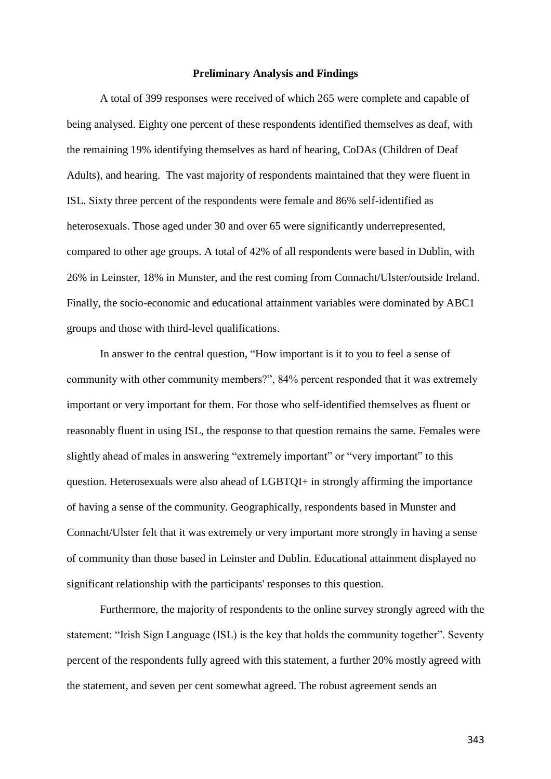## **Preliminary Analysis and Findings**

A total of 399 responses were received of which 265 were complete and capable of being analysed. Eighty one percent of these respondents identified themselves as deaf, with the remaining 19% identifying themselves as hard of hearing, CoDAs (Children of Deaf Adults), and hearing. The vast majority of respondents maintained that they were fluent in ISL. Sixty three percent of the respondents were female and 86% self-identified as heterosexuals. Those aged under 30 and over 65 were significantly underrepresented, compared to other age groups. A total of 42% of all respondents were based in Dublin, with 26% in Leinster, 18% in Munster, and the rest coming from Connacht/Ulster/outside Ireland. Finally, the socio-economic and educational attainment variables were dominated by ABC1 groups and those with third-level qualifications.

In answer to the central question, "How important is it to you to feel a sense of community with other community members?", 84% percent responded that it was extremely important or very important for them. For those who self-identified themselves as fluent or reasonably fluent in using ISL, the response to that question remains the same. Females were slightly ahead of males in answering "extremely important" or "very important" to this question. Heterosexuals were also ahead of LGBTQI+ in strongly affirming the importance of having a sense of the community. Geographically, respondents based in Munster and Connacht/Ulster felt that it was extremely or very important more strongly in having a sense of community than those based in Leinster and Dublin. Educational attainment displayed no significant relationship with the participants' responses to this question.

Furthermore, the majority of respondents to the online survey strongly agreed with the statement: "Irish Sign Language (ISL) is the key that holds the community together". Seventy percent of the respondents fully agreed with this statement, a further 20% mostly agreed with the statement, and seven per cent somewhat agreed. The robust agreement sends an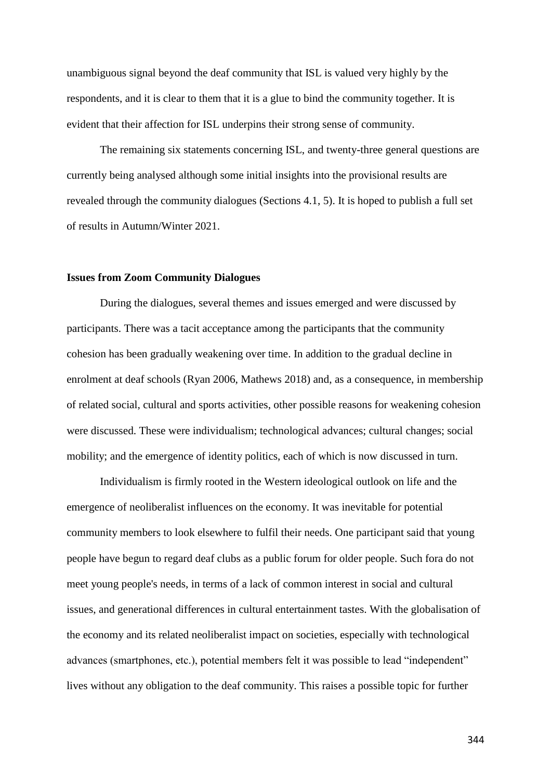unambiguous signal beyond the deaf community that ISL is valued very highly by the respondents, and it is clear to them that it is a glue to bind the community together. It is evident that their affection for ISL underpins their strong sense of community.

The remaining six statements concerning ISL, and twenty-three general questions are currently being analysed although some initial insights into the provisional results are revealed through the community dialogues (Sections 4.1, 5). It is hoped to publish a full set of results in Autumn/Winter 2021.

#### **Issues from Zoom Community Dialogues**

During the dialogues, several themes and issues emerged and were discussed by participants. There was a tacit acceptance among the participants that the community cohesion has been gradually weakening over time. In addition to the gradual decline in enrolment at deaf schools (Ryan 2006, Mathews 2018) and, as a consequence, in membership of related social, cultural and sports activities, other possible reasons for weakening cohesion were discussed. These were individualism; technological advances; cultural changes; social mobility; and the emergence of identity politics, each of which is now discussed in turn.

Individualism is firmly rooted in the Western ideological outlook on life and the emergence of neoliberalist influences on the economy. It was inevitable for potential community members to look elsewhere to fulfil their needs. One participant said that young people have begun to regard deaf clubs as a public forum for older people. Such fora do not meet young people's needs, in terms of a lack of common interest in social and cultural issues, and generational differences in cultural entertainment tastes. With the globalisation of the economy and its related neoliberalist impact on societies, especially with technological advances (smartphones, etc.), potential members felt it was possible to lead "independent" lives without any obligation to the deaf community. This raises a possible topic for further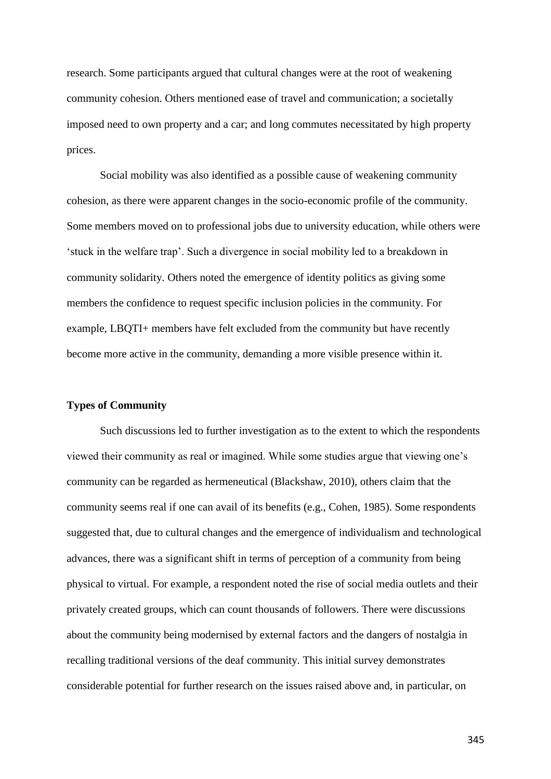research. Some participants argued that cultural changes were at the root of weakening community cohesion. Others mentioned ease of travel and communication; a societally imposed need to own property and a car; and long commutes necessitated by high property prices.

Social mobility was also identified as a possible cause of weakening community cohesion, as there were apparent changes in the socio-economic profile of the community. Some members moved on to professional jobs due to university education, while others were 'stuck in the welfare trap'. Such a divergence in social mobility led to a breakdown in community solidarity. Others noted the emergence of identity politics as giving some members the confidence to request specific inclusion policies in the community. For example, LBQTI+ members have felt excluded from the community but have recently become more active in the community, demanding a more visible presence within it.

# **Types of Community**

Such discussions led to further investigation as to the extent to which the respondents viewed their community as real or imagined. While some studies argue that viewing one's community can be regarded as hermeneutical (Blackshaw, 2010), others claim that the community seems real if one can avail of its benefits (e.g., Cohen, 1985). Some respondents suggested that, due to cultural changes and the emergence of individualism and technological advances, there was a significant shift in terms of perception of a community from being physical to virtual. For example, a respondent noted the rise of social media outlets and their privately created groups, which can count thousands of followers. There were discussions about the community being modernised by external factors and the dangers of nostalgia in recalling traditional versions of the deaf community. This initial survey demonstrates considerable potential for further research on the issues raised above and, in particular, on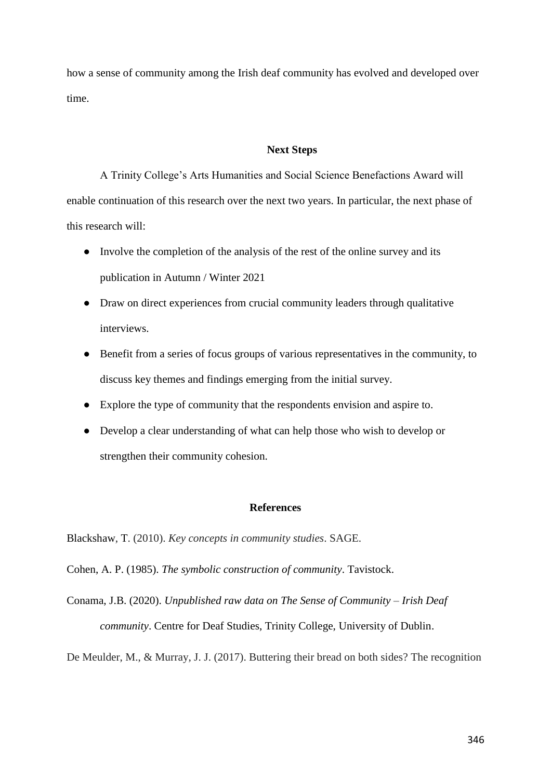how a sense of community among the Irish deaf community has evolved and developed over time.

# **Next Steps**

A Trinity College's Arts Humanities and Social Science Benefactions Award will enable continuation of this research over the next two years. In particular, the next phase of this research will:

- Involve the completion of the analysis of the rest of the online survey and its publication in Autumn / Winter 2021
- Draw on direct experiences from crucial community leaders through qualitative interviews.
- Benefit from a series of focus groups of various representatives in the community, to discuss key themes and findings emerging from the initial survey.
- Explore the type of community that the respondents envision and aspire to.
- Develop a clear understanding of what can help those who wish to develop or strengthen their community cohesion.

## **References**

Blackshaw, T. (2010). *Key concepts in community studies*. SAGE.

Cohen, A. P. (1985). *The symbolic construction of community*. Tavistock.

Conama, J.B. (2020). *Unpublished raw data on The Sense of Community – Irish Deaf community*. Centre for Deaf Studies, Trinity College, University of Dublin.

De Meulder, M., & Murray, J. J. (2017). Buttering their bread on both sides? The recognition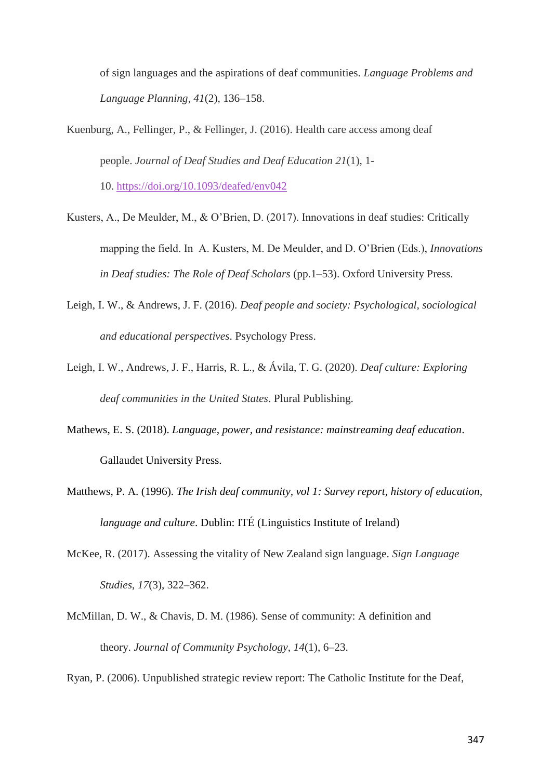of sign languages and the aspirations of deaf communities. *Language Problems and Language Planning*, *41*(2), 136–158.

- Kuenburg, A., Fellinger, P., & Fellinger, J. (2016). Health care access among deaf people. *Journal of Deaf Studies and Deaf Education 21*(1), 1- 10. <https://doi.org/10.1093/deafed/env042>
- Kusters, A., De Meulder, M., & O'Brien, D. (2017). Innovations in deaf studies: Critically mapping the field. In A. Kusters, M. De Meulder, and D. O'Brien (Eds.), *Innovations in Deaf studies: The Role of Deaf Scholars* (pp.1–53). Oxford University Press.
- Leigh, I. W., & Andrews, J. F. (2016). *Deaf people and society: Psychological, sociological and educational perspectives*. Psychology Press.
- Leigh, I. W., Andrews, J. F., Harris, R. L., & Ávila, T. G. (2020). *Deaf culture: Exploring deaf communities in the United States*. Plural Publishing.
- Mathews, E. S. (2018). *Language, power, and resistance: mainstreaming deaf education*. Gallaudet University Press.
- Matthews, P. A. (1996). *The Irish deaf community, vol 1: Survey report, history of education, language and culture*. Dublin: ITÉ (Linguistics Institute of Ireland)
- McKee, R. (2017). Assessing the vitality of New Zealand sign language. *Sign Language Studies*, *17*(3), 322–362.
- McMillan, D. W., & Chavis, D. M. (1986). Sense of community: A definition and theory. *Journal of Community Psychology*, *14*(1), 6–23.

Ryan, P. (2006). Unpublished strategic review report: The Catholic Institute for the Deaf,